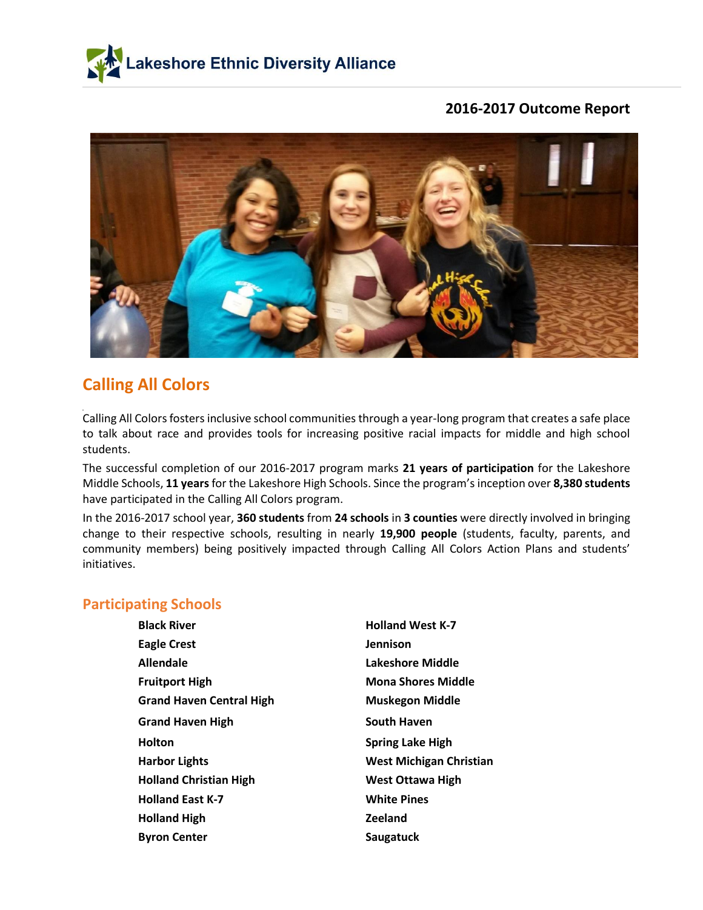



# **Calling All Colors**

Calling All Colors fosters inclusive school communities through a year-long program that creates a safe place to talk about race and provides tools for increasing positive racial impacts for middle and high school students.

The successful completion of our 2016-2017 program marks **21 years of participation** for the Lakeshore Middle Schools, **11 years** for the Lakeshore High Schools. Since the program's inception over **8,380 students** have participated in the Calling All Colors program.

In the 2016-2017 school year, **360 students** from **24 schools** in **3 counties** were directly involved in bringing change to their respective schools, resulting in nearly **19,900 people** (students, faculty, parents, and community members) being positively impacted through Calling All Colors Action Plans and students' initiatives.

### **Participating Schools**

| <b>Black River</b>              | <b>Holland West K-7</b>   |
|---------------------------------|---------------------------|
| <b>Eagle Crest</b>              | <b>Jennison</b>           |
| <b>Allendale</b>                | Lakeshore Middle          |
| <b>Fruitport High</b>           | <b>Mona Shores Middle</b> |
| <b>Grand Haven Central High</b> | <b>Muskegon Middle</b>    |
| <b>Grand Haven High</b>         | <b>South Haven</b>        |
|                                 |                           |
| <b>Holton</b>                   | <b>Spring Lake High</b>   |
| <b>Harbor Lights</b>            | West Michigan Christian   |
| <b>Holland Christian High</b>   | <b>West Ottawa High</b>   |
| <b>Holland East K-7</b>         | <b>White Pines</b>        |
| <b>Holland High</b>             | <b>Zeeland</b>            |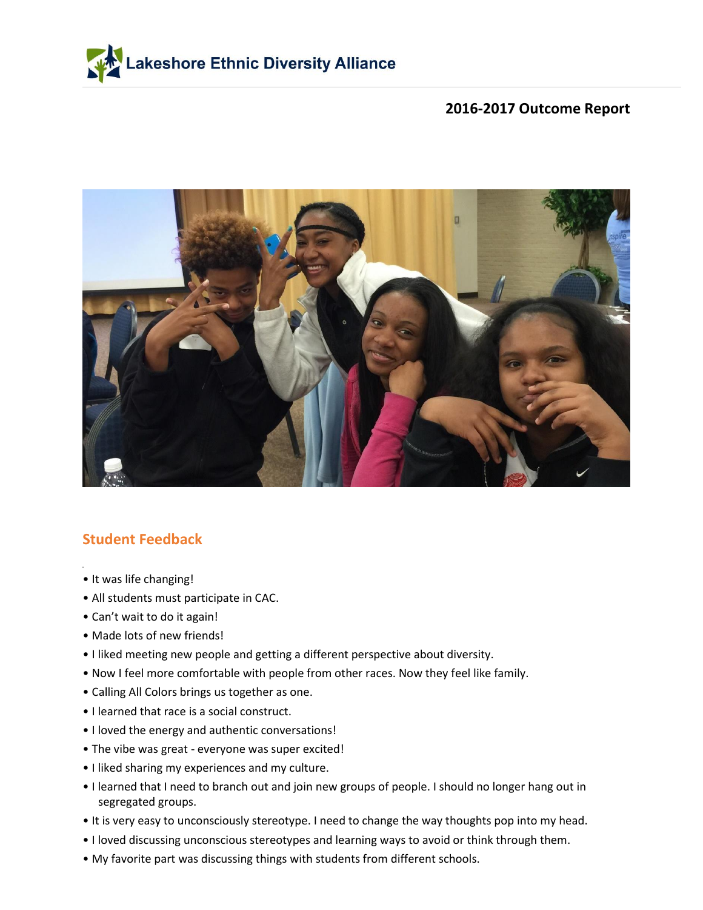



## **Student Feedback**

- It was life changing!
- All students must participate in CAC.
- Can't wait to do it again!
- Made lots of new friends!
- I liked meeting new people and getting a different perspective about diversity.
- Now I feel more comfortable with people from other races. Now they feel like family.
- Calling All Colors brings us together as one.
- I learned that race is a social construct.
- I loved the energy and authentic conversations!
- The vibe was great everyone was super excited!
- I liked sharing my experiences and my culture.
- I learned that I need to branch out and join new groups of people. I should no longer hang out in segregated groups.
- It is very easy to unconsciously stereotype. I need to change the way thoughts pop into my head.
- I loved discussing unconscious stereotypes and learning ways to avoid or think through them.
- My favorite part was discussing things with students from different schools.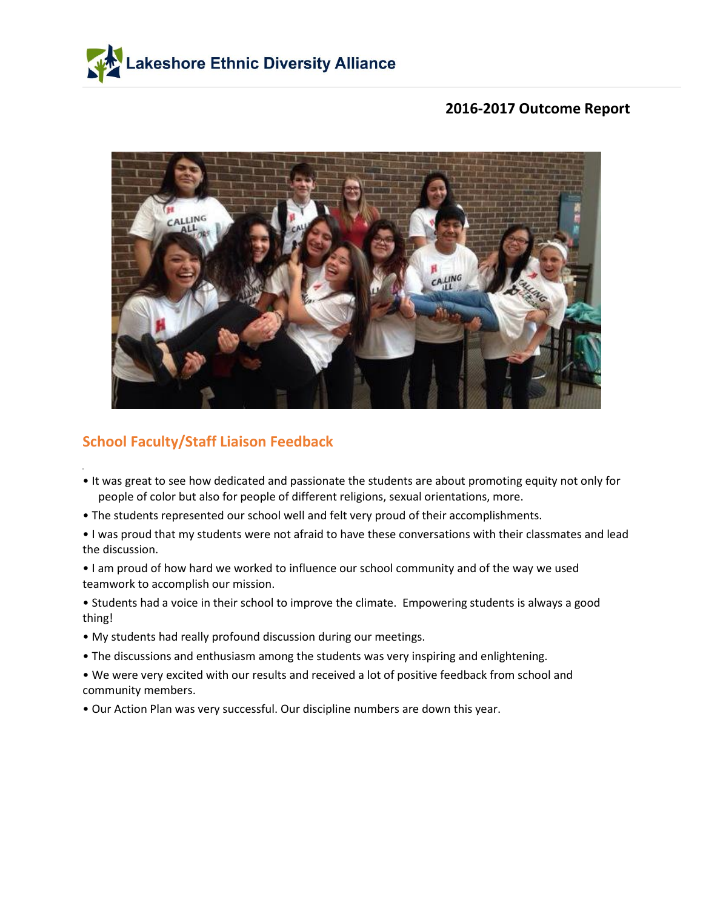



# **School Faculty/Staff Liaison Feedback**

- It was great to see how dedicated and passionate the students are about promoting equity not only for people of color but also for people of different religions, sexual orientations, more.
- The students represented our school well and felt very proud of their accomplishments.
- I was proud that my students were not afraid to have these conversations with their classmates and lead the discussion.
- I am proud of how hard we worked to influence our school community and of the way we used teamwork to accomplish our mission.
- Students had a voice in their school to improve the climate. Empowering students is always a good thing!
- My students had really profound discussion during our meetings.
- The discussions and enthusiasm among the students was very inspiring and enlightening.
- We were very excited with our results and received a lot of positive feedback from school and community members.
- Our Action Plan was very successful. Our discipline numbers are down this year.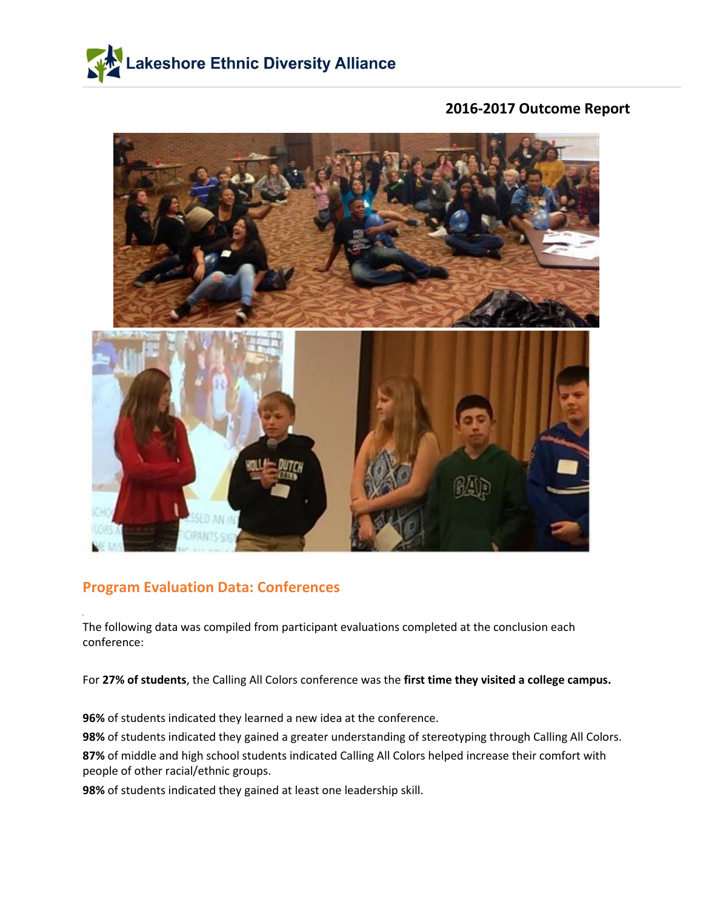



## **Program Evaluation Data: Conferences**

The following data was compiled from participant evaluations completed at the conclusion each conference:

For **27% of students**, the Calling All Colors conference was the **first time they visited a college campus.**

**96%** of students indicated they learned a new idea at the conference.

**98%** of students indicated they gained a greater understanding of stereotyping through Calling All Colors. **87%** of middle and high school students indicated Calling All Colors helped increase their comfort with people of other racial/ethnic groups.

**98%** of students indicated they gained at least one leadership skill.